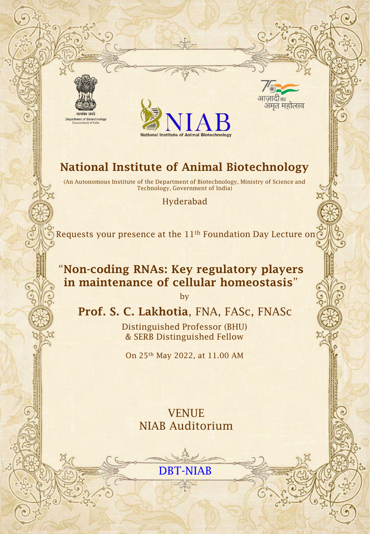



जादाक्र अमृत महोत्सव

# **National Institute of Animal Biotechnology**

(An Autonomous Institute of the Department of Biotechnology, Ministry of Science and Technology, Government of India)

#### Hyderabad

Requests your presence at the  $11<sup>th</sup>$  Foundation Day Lecture on  $\odot$ 

## "**Non-coding RNAs: Key regulatory players in maintenance of cellular homeostasis**"

by

### **Prof. S. C. Lakhotia**, FNA, FASc, FNASc

Distinguished Professor (BHU) & SERB Distinguished Fellow

On 25th May 2022, at 11.00 AM

VENUE NIAB Auditorium

DBT-NIAB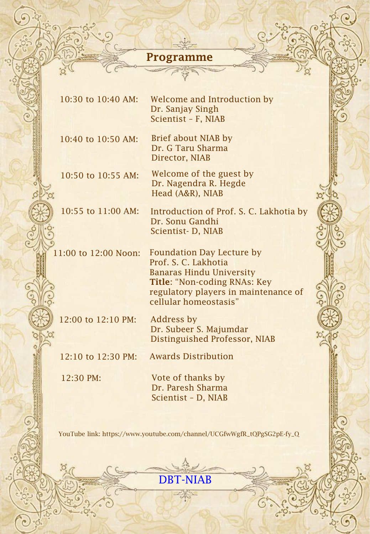## **Programme**

 $\frac{1}{2}$ 

ʻoʻ

669.

 $\mathbf{c}$ 

O°

٠.

 $\bullet$ 

Ğ

| 10:30 to 10:40 AM:   | Welcome and Introduction by<br>Dr. Sanjay Singh<br>Scientist - F, NIAB                                                                                                                       |  |
|----------------------|----------------------------------------------------------------------------------------------------------------------------------------------------------------------------------------------|--|
| 10:40 to 10:50 AM:   | Brief about NIAB by<br>Dr. G Taru Sharma<br>Director, NIAB                                                                                                                                   |  |
| 10:50 to 10:55 AM:   | Welcome of the guest by<br>Dr. Nagendra R. Hegde<br>Head (A&R), NIAB                                                                                                                         |  |
| 10:55 to 11:00 AM:   | Introduction of Prof. S. C. Lakhotia by<br>Dr. Sonu Gandhi<br>Scientist-D, NIAB                                                                                                              |  |
| 11:00 to 12:00 Noon: | <b>Foundation Day Lecture by</b><br>Prof. S. C. Lakhotia<br><b>Banaras Hindu University</b><br>Title: "Non-coding RNAs: Key<br>regulatory players in maintenance of<br>cellular homeostasis" |  |
| 12:00 to 12:10 PM:   | Address by<br>Dr. Subeer S. Majumdar<br>Distinguished Professor, NIAB                                                                                                                        |  |
| 12:10 to 12:30 PM:   | <b>Awards Distribution</b>                                                                                                                                                                   |  |
| 12:30 PM:            | Vote of thanks by<br>Dr. Paresh Sharma<br>Scientist - D, NIAB                                                                                                                                |  |

YouTube link: https://www.youtube.com/channel/UCGfwWgfR\_tQPgSG2pE-fy\_Q



 $-200$